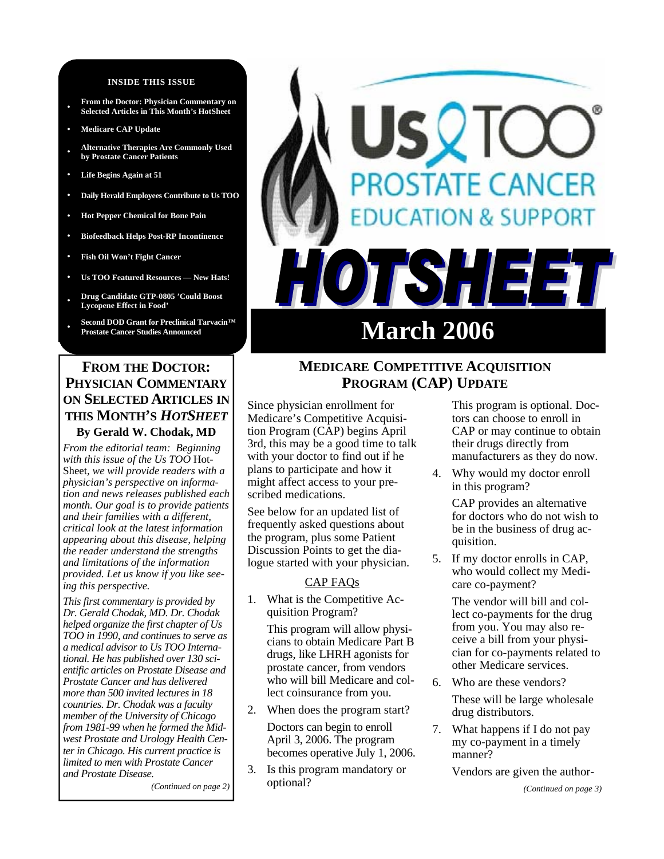#### **INSIDE THIS ISSUE**

- **From the Doctor: Physician Commentary on Selected Articles in This Month's HotSheet**
- **• Medicare CAP Update**
- **• Alternative Therapies Are Commonly Used by Prostate Cancer Patients**
- **• Life Begins Again at 51**
- **• Daily Herald Employees Contribute to Us TOO**
- **• Hot Pepper Chemical for Bone Pain**
- **• Biofeedback Helps Post-RP Incontinence**
- **• Fish Oil Won't Fight Cancer**
- **• Us TOO Featured Resources New Hats!**
- **• Drug Candidate GTP-0805 'Could Boost Lycopene Effect in Food'**
- **• Second DOD Grant for Preclinical Tarvacin™**

# **FROM THE DOCTOR: PHYSICIAN COMMENTARY ON SELECTED ARTICLES IN THIS MONTH'S** *HOTSHEET* **By Gerald W. Chodak, MD**

*From the editorial team: Beginning with this issue of the Us TOO* Hot-Sheet*, we will provide readers with a physician's perspective on information and news releases published each month. Our goal is to provide patients and their families with a different, critical look at the latest information appearing about this disease, helping the reader understand the strengths and limitations of the information provided. Let us know if you like seeing this perspective.* 

*This first commentary is provided by Dr. Gerald Chodak, MD. Dr. Chodak helped organize the first chapter of Us TOO in 1990, and continues to serve as a medical advisor to Us TOO International. He has published over 130 scientific articles on Prostate Disease and Prostate Cancer and has delivered more than 500 invited lectures in 18 countries. Dr. Chodak was a faculty member of the University of Chicago from 1981-99 when he formed the Midwest Prostate and Urology Health Center in Chicago. His current practice is limited to men with Prostate Cancer and Prostate Disease.* 

*(Continued on page 2)* 

# STATE CANCER **DN & SUPPORT March 2006**

# **MEDICARE COMPETITIVE ACQUISITION PROGRAM (CAP) UPDATE**

Since physician enrollment for Medicare's Competitive Acquisition Program (CAP) begins April 3rd, this may be a good time to talk with your doctor to find out if he plans to participate and how it might affect access to your prescribed medications.

See below for an updated list of frequently asked questions about the program, plus some Patient Discussion Points to get the dialogue started with your physician.

## CAP FAQs

1. What is the Competitive Acquisition Program?

This program will allow physicians to obtain Medicare Part B drugs, like LHRH agonists for prostate cancer, from vendors who will bill Medicare and collect coinsurance from you.

2. When does the program start?

Doctors can begin to enroll April 3, 2006. The program becomes operative July 1, 2006.

3. Is this program mandatory or optional?

This program is optional. Doctors can choose to enroll in CAP or may continue to obtain their drugs directly from manufacturers as they do now.

4. Why would my doctor enroll in this program?

> CAP provides an alternative for doctors who do not wish to be in the business of drug acquisition.

5. If my doctor enrolls in CAP, who would collect my Medicare co-payment?

> The vendor will bill and collect co-payments for the drug from you. You may also receive a bill from your physician for co-payments related to other Medicare services.

- 6. Who are these vendors? These will be large wholesale drug distributors.
- 7. What happens if I do not pay my co-payment in a timely manner?

Vendors are given the author-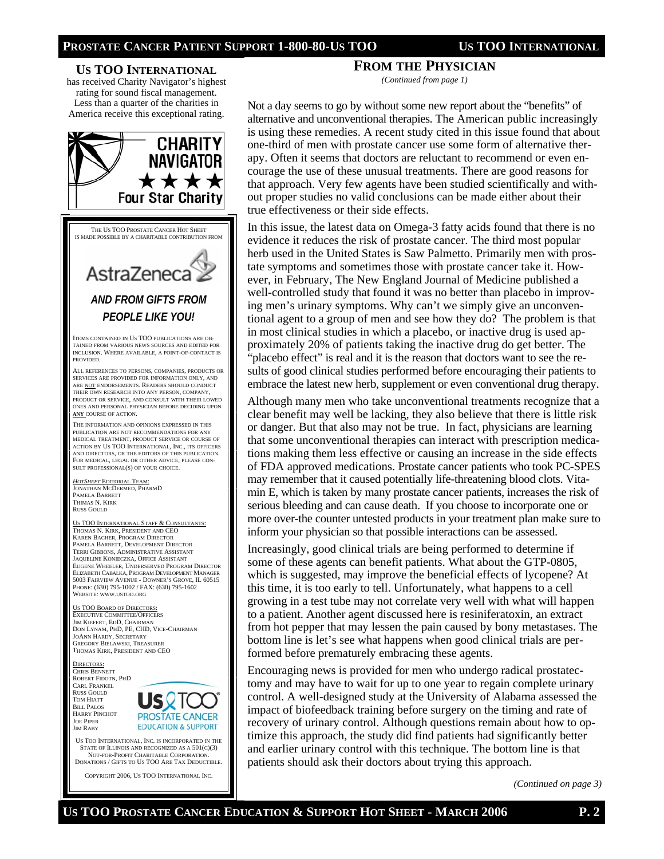

## **FROM THE PHYSICIAN**

*(Continued from page 1)* 

Not a day seems to go by without some new report about the "benefits" of alternative and unconventional therapies. The American public increasingly is using these remedies. A recent study cited in this issue found that about one-third of men with prostate cancer use some form of alternative therapy. Often it seems that doctors are reluctant to recommend or even encourage the use of these unusual treatments. There are good reasons for that approach. Very few agents have been studied scientifically and without proper studies no valid conclusions can be made either about their true effectiveness or their side effects.

In this issue, the latest data on Omega-3 fatty acids found that there is no evidence it reduces the risk of prostate cancer. The third most popular herb used in the United States is Saw Palmetto. Primarily men with prostate symptoms and sometimes those with prostate cancer take it. However, in February, The New England Journal of Medicine published a well-controlled study that found it was no better than placebo in improving men's urinary symptoms. Why can't we simply give an unconventional agent to a group of men and see how they do? The problem is that in most clinical studies in which a placebo, or inactive drug is used approximately 20% of patients taking the inactive drug do get better. The "placebo effect" is real and it is the reason that doctors want to see the results of good clinical studies performed before encouraging their patients to embrace the latest new herb, supplement or even conventional drug therapy.

Although many men who take unconventional treatments recognize that a clear benefit may well be lacking, they also believe that there is little risk or danger. But that also may not be true. In fact, physicians are learning that some unconventional therapies can interact with prescription medications making them less effective or causing an increase in the side effects of FDA approved medications. Prostate cancer patients who took PC-SPES may remember that it caused potentially life-threatening blood clots. Vitamin E, which is taken by many prostate cancer patients, increases the risk of serious bleeding and can cause death. If you choose to incorporate one or more over-the counter untested products in your treatment plan make sure to inform your physician so that possible interactions can be assessed.

Increasingly, good clinical trials are being performed to determine if some of these agents can benefit patients. What about the GTP-0805, which is suggested, may improve the beneficial effects of lycopene? At this time, it is too early to tell. Unfortunately, what happens to a cell growing in a test tube may not correlate very well with what will happen to a patient. Another agent discussed here is resiniferatoxin, an extract from hot pepper that may lessen the pain caused by bony metastases. The bottom line is let's see what happens when good clinical trials are performed before prematurely embracing these agents.

Encouraging news is provided for men who undergo radical prostatectomy and may have to wait for up to one year to regain complete urinary control. A well-designed study at the University of Alabama assessed the impact of biofeedback training before surgery on the timing and rate of recovery of urinary control. Although questions remain about how to optimize this approach, the study did find patients had significantly better and earlier urinary control with this technique. The bottom line is that patients should ask their doctors about trying this approach.

*(Continued on page 3)*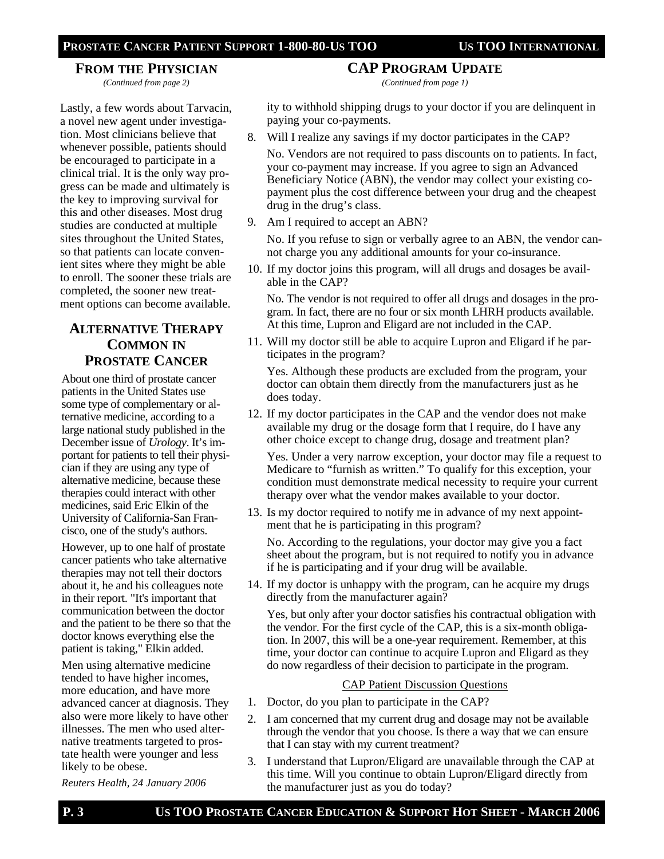**FROM THE PHYSICIAN** *(Continued from page 2)* 

## **CAP PROGRAM UPDATE**

*(Continued from page 1)* 

Lastly, a few words about Tarvacin, a novel new agent under investigation. Most clinicians believe that whenever possible, patients should be encouraged to participate in a clinical trial. It is the only way progress can be made and ultimately is the key to improving survival for this and other diseases. Most drug studies are conducted at multiple sites throughout the United States, so that patients can locate convenient sites where they might be able to enroll. The sooner these trials are completed, the sooner new treatment options can become available.

# **ALTERNATIVE THERAPY COMMON IN PROSTATE CANCER**

About one third of prostate cancer patients in the United States use some type of complementary or alternative medicine, according to a large national study published in the December issue of *Urology*. It's important for patients to tell their physician if they are using any type of alternative medicine, because these therapies could interact with other medicines, said Eric Elkin of the University of California-San Francisco, one of the study's authors.

However, up to one half of prostate cancer patients who take alternative therapies may not tell their doctors about it, he and his colleagues note in their report. "It's important that communication between the doctor and the patient to be there so that the doctor knows everything else the patient is taking," Elkin added.

Men using alternative medicine tended to have higher incomes, more education, and have more advanced cancer at diagnosis. They also were more likely to have other illnesses. The men who used alternative treatments targeted to prostate health were younger and less likely to be obese.

*Reuters Health, 24 January 2006* 

ity to withhold shipping drugs to your doctor if you are delinquent in paying your co-payments.

8. Will I realize any savings if my doctor participates in the CAP?

No. Vendors are not required to pass discounts on to patients. In fact, your co-payment may increase. If you agree to sign an Advanced Beneficiary Notice (ABN), the vendor may collect your existing copayment plus the cost difference between your drug and the cheapest drug in the drug's class.

9. Am I required to accept an ABN?

No. If you refuse to sign or verbally agree to an ABN, the vendor cannot charge you any additional amounts for your co-insurance.

10. If my doctor joins this program, will all drugs and dosages be available in the CAP?

No. The vendor is not required to offer all drugs and dosages in the program. In fact, there are no four or six month LHRH products available. At this time, Lupron and Eligard are not included in the CAP.

11. Will my doctor still be able to acquire Lupron and Eligard if he participates in the program?

Yes. Although these products are excluded from the program, your doctor can obtain them directly from the manufacturers just as he does today.

12. If my doctor participates in the CAP and the vendor does not make available my drug or the dosage form that I require, do I have any other choice except to change drug, dosage and treatment plan?

Yes. Under a very narrow exception, your doctor may file a request to Medicare to "furnish as written." To qualify for this exception, your condition must demonstrate medical necessity to require your current therapy over what the vendor makes available to your doctor.

13. Is my doctor required to notify me in advance of my next appointment that he is participating in this program?

No. According to the regulations, your doctor may give you a fact sheet about the program, but is not required to notify you in advance if he is participating and if your drug will be available.

14. If my doctor is unhappy with the program, can he acquire my drugs directly from the manufacturer again?

Yes, but only after your doctor satisfies his contractual obligation with the vendor. For the first cycle of the CAP, this is a six-month obligation. In 2007, this will be a one-year requirement. Remember, at this time, your doctor can continue to acquire Lupron and Eligard as they do now regardless of their decision to participate in the program.

## CAP Patient Discussion Questions

- 1. Doctor, do you plan to participate in the CAP?
- 2. I am concerned that my current drug and dosage may not be available through the vendor that you choose. Is there a way that we can ensure that I can stay with my current treatment?
- 3. I understand that Lupron/Eligard are unavailable through the CAP at this time. Will you continue to obtain Lupron/Eligard directly from the manufacturer just as you do today?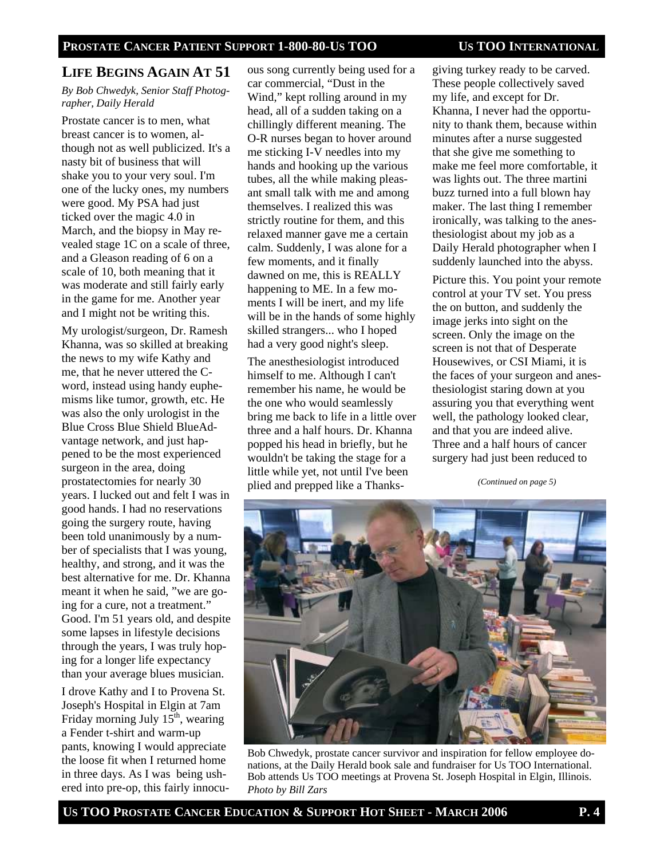# **LIFE BEGINS AGAIN AT 51**

#### *By Bob Chwedyk, Senior Staff Photographer, Daily Herald*

Prostate cancer is to men, what breast cancer is to women, although not as well publicized. It's a nasty bit of business that will shake you to your very soul. I'm one of the lucky ones, my numbers were good. My PSA had just ticked over the magic 4.0 in March, and the biopsy in May revealed stage 1C on a scale of three, and a Gleason reading of 6 on a scale of 10, both meaning that it was moderate and still fairly early in the game for me. Another year and I might not be writing this.

My urologist/surgeon, Dr. Ramesh Khanna, was so skilled at breaking the news to my wife Kathy and me, that he never uttered the Cword, instead using handy euphemisms like tumor, growth, etc. He was also the only urologist in the Blue Cross Blue Shield BlueAdvantage network, and just happened to be the most experienced surgeon in the area, doing prostatectomies for nearly 30 years. I lucked out and felt I was in good hands. I had no reservations going the surgery route, having been told unanimously by a number of specialists that I was young, healthy, and strong, and it was the best alternative for me. Dr. Khanna meant it when he said, "we are going for a cure, not a treatment." Good. I'm 51 years old, and despite some lapses in lifestyle decisions through the years, I was truly hoping for a longer life expectancy than your average blues musician.

I drove Kathy and I to Provena St. Joseph's Hospital in Elgin at 7am Friday morning July  $15<sup>th</sup>$ , wearing a Fender t-shirt and warm-up pants, knowing I would appreciate the loose fit when I returned home in three days. As I was being ushered into pre-op, this fairly innocu-

ous song currently being used for a car commercial, "Dust in the Wind," kept rolling around in my head, all of a sudden taking on a chillingly different meaning. The O-R nurses began to hover around me sticking I-V needles into my hands and hooking up the various tubes, all the while making pleasant small talk with me and among themselves. I realized this was strictly routine for them, and this relaxed manner gave me a certain calm. Suddenly, I was alone for a few moments, and it finally dawned on me, this is REALLY happening to ME. In a few moments I will be inert, and my life will be in the hands of some highly skilled strangers... who I hoped had a very good night's sleep.

The anesthesiologist introduced himself to me. Although I can't remember his name, he would be the one who would seamlessly bring me back to life in a little over three and a half hours. Dr. Khanna popped his head in briefly, but he wouldn't be taking the stage for a little while yet, not until I've been plied and prepped like a Thanks-

giving turkey ready to be carved. These people collectively saved my life, and except for Dr. Khanna, I never had the opportunity to thank them, because within minutes after a nurse suggested that she give me something to make me feel more comfortable, it was lights out. The three martini buzz turned into a full blown hay maker. The last thing I remember ironically, was talking to the anesthesiologist about my job as a Daily Herald photographer when I suddenly launched into the abyss.

Picture this. You point your remote control at your TV set. You press the on button, and suddenly the image jerks into sight on the screen. Only the image on the screen is not that of Desperate Housewives, or CSI Miami, it is the faces of your surgeon and anesthesiologist staring down at you assuring you that everything went well, the pathology looked clear, and that you are indeed alive. Three and a half hours of cancer surgery had just been reduced to

*(Continued on page 5)* 



Bob Chwedyk, prostate cancer survivor and inspiration for fellow employee donations, at the Daily Herald book sale and fundraiser for Us TOO International. Bob attends Us TOO meetings at Provena St. Joseph Hospital in Elgin, Illinois. *Photo by Bill Zars*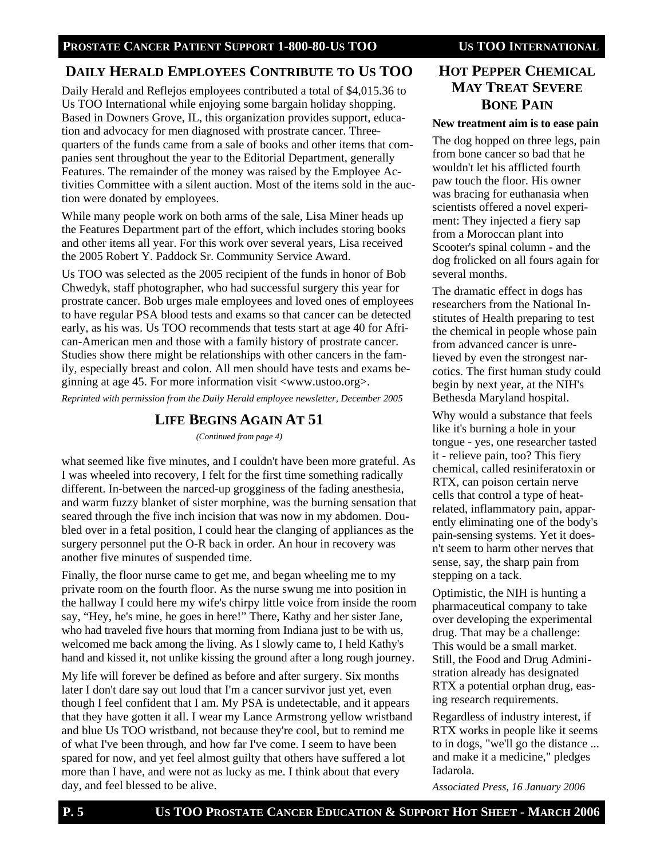# **DAILY HERALD EMPLOYEES CONTRIBUTE TO US TOO**

Daily Herald and Reflejos employees contributed a total of \$4,015.36 to Us TOO International while enjoying some bargain holiday shopping. Based in Downers Grove, IL, this organization provides support, education and advocacy for men diagnosed with prostrate cancer. Threequarters of the funds came from a sale of books and other items that companies sent throughout the year to the Editorial Department, generally Features. The remainder of the money was raised by the Employee Activities Committee with a silent auction. Most of the items sold in the auction were donated by employees.

While many people work on both arms of the sale, Lisa Miner heads up the Features Department part of the effort, which includes storing books and other items all year. For this work over several years, Lisa received the 2005 Robert Y. Paddock Sr. Community Service Award.

Us TOO was selected as the 2005 recipient of the funds in honor of Bob Chwedyk, staff photographer, who had successful surgery this year for prostrate cancer. Bob urges male employees and loved ones of employees to have regular PSA blood tests and exams so that cancer can be detected early, as his was. Us TOO recommends that tests start at age 40 for African-American men and those with a family history of prostrate cancer. Studies show there might be relationships with other cancers in the family, especially breast and colon. All men should have tests and exams beginning at age 45. For more information visit <www.ustoo.org>.

*Reprinted with permission from the Daily Herald employee newsletter, December 2005* 

# **LIFE BEGINS AGAIN AT 51**

*(Continued from page 4)* 

what seemed like five minutes, and I couldn't have been more grateful. As I was wheeled into recovery, I felt for the first time something radically different. In-between the narced-up grogginess of the fading anesthesia, and warm fuzzy blanket of sister morphine, was the burning sensation that seared through the five inch incision that was now in my abdomen. Doubled over in a fetal position, I could hear the clanging of appliances as the surgery personnel put the O-R back in order. An hour in recovery was another five minutes of suspended time.

Finally, the floor nurse came to get me, and began wheeling me to my private room on the fourth floor. As the nurse swung me into position in the hallway I could here my wife's chirpy little voice from inside the room say, "Hey, he's mine, he goes in here!" There, Kathy and her sister Jane, who had traveled five hours that morning from Indiana just to be with us, welcomed me back among the living. As I slowly came to, I held Kathy's hand and kissed it, not unlike kissing the ground after a long rough journey.

My life will forever be defined as before and after surgery. Six months later I don't dare say out loud that I'm a cancer survivor just yet, even though I feel confident that I am. My PSA is undetectable, and it appears that they have gotten it all. I wear my Lance Armstrong yellow wristband and blue Us TOO wristband, not because they're cool, but to remind me of what I've been through, and how far I've come. I seem to have been spared for now, and yet feel almost guilty that others have suffered a lot more than I have, and were not as lucky as me. I think about that every day, and feel blessed to be alive.

# **HOT PEPPER CHEMICAL MAY TREAT SEVERE BONE PAIN**

#### **New treatment aim is to ease pain**

The dog hopped on three legs, pain from bone cancer so bad that he wouldn't let his afflicted fourth paw touch the floor. His owner was bracing for euthanasia when scientists offered a novel experiment: They injected a fiery sap from a Moroccan plant into Scooter's spinal column - and the dog frolicked on all fours again for several months.

The dramatic effect in dogs has researchers from the National Institutes of Health preparing to test the chemical in people whose pain from advanced cancer is unrelieved by even the strongest narcotics. The first human study could begin by next year, at the NIH's Bethesda Maryland hospital.

Why would a substance that feels like it's burning a hole in your tongue - yes, one researcher tasted it - relieve pain, too? This fiery chemical, called resiniferatoxin or RTX, can poison certain nerve cells that control a type of heatrelated, inflammatory pain, apparently eliminating one of the body's pain-sensing systems. Yet it doesn't seem to harm other nerves that sense, say, the sharp pain from stepping on a tack.

Optimistic, the NIH is hunting a pharmaceutical company to take over developing the experimental drug. That may be a challenge: This would be a small market. Still, the Food and Drug Administration already has designated RTX a potential orphan drug, easing research requirements.

Regardless of industry interest, if RTX works in people like it seems to in dogs, "we'll go the distance ... and make it a medicine," pledges Iadarola.

*Associated Press, 16 January 2006*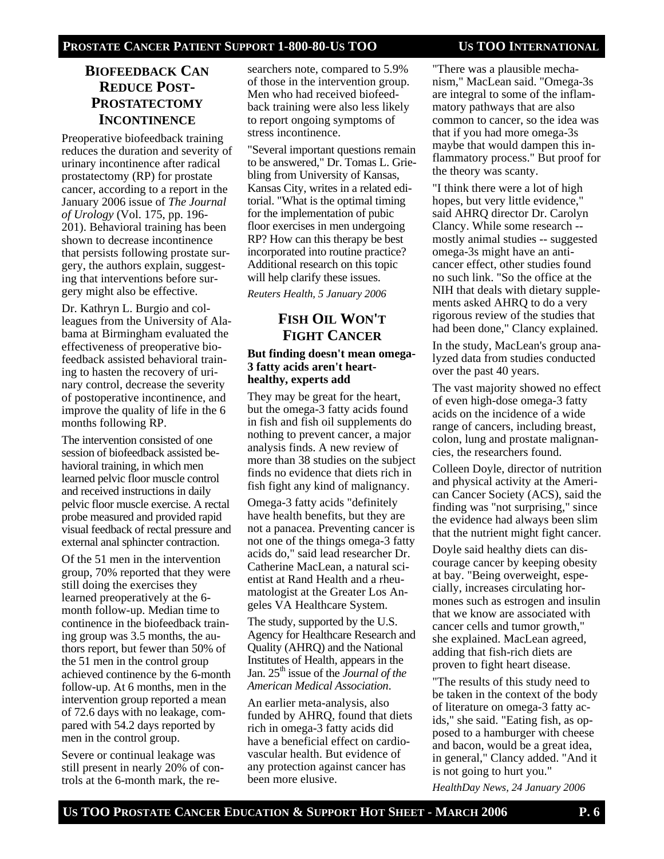# **BIOFEEDBACK CAN REDUCE POST-PROSTATECTOMY INCONTINENCE**

Preoperative biofeedback training reduces the duration and severity of urinary incontinence after radical prostatectomy (RP) for prostate cancer, according to a report in the January 2006 issue of *The Journal of Urology* (Vol. 175, pp. 196- 201). Behavioral training has been shown to decrease incontinence that persists following prostate surgery, the authors explain, suggesting that interventions before surgery might also be effective.

Dr. Kathryn L. Burgio and colleagues from the University of Alabama at Birmingham evaluated the effectiveness of preoperative biofeedback assisted behavioral training to hasten the recovery of urinary control, decrease the severity of postoperative incontinence, and improve the quality of life in the 6 months following RP.

The intervention consisted of one session of biofeedback assisted behavioral training, in which men learned pelvic floor muscle control and received instructions in daily pelvic floor muscle exercise. A rectal probe measured and provided rapid visual feedback of rectal pressure and external anal sphincter contraction.

Of the 51 men in the intervention group, 70% reported that they were still doing the exercises they learned preoperatively at the 6 month follow-up. Median time to continence in the biofeedback training group was 3.5 months, the authors report, but fewer than 50% of the 51 men in the control group achieved continence by the 6-month follow-up. At 6 months, men in the intervention group reported a mean of 72.6 days with no leakage, compared with 54.2 days reported by men in the control group.

Severe or continual leakage was still present in nearly 20% of controls at the 6-month mark, the researchers note, compared to 5.9% of those in the intervention group. Men who had received biofeedback training were also less likely to report ongoing symptoms of stress incontinence.

"Several important questions remain to be answered," Dr. Tomas L. Griebling from University of Kansas, Kansas City, writes in a related editorial. "What is the optimal timing for the implementation of pubic floor exercises in men undergoing RP? How can this therapy be best incorporated into routine practice? Additional research on this topic will help clarify these issues.

*Reuters Health, 5 January 2006* 

# **FISH OIL WON'T FIGHT CANCER**

#### **But finding doesn't mean omega-3 fatty acids aren't hearthealthy, experts add**

They may be great for the heart, but the omega-3 fatty acids found in fish and fish oil supplements do nothing to prevent cancer, a major analysis finds. A new review of more than 38 studies on the subject finds no evidence that diets rich in fish fight any kind of malignancy.

Omega-3 fatty acids "definitely have health benefits, but they are not a panacea. Preventing cancer is not one of the things omega-3 fatty acids do," said lead researcher Dr. Catherine MacLean, a natural scientist at Rand Health and a rheumatologist at the Greater Los Angeles VA Healthcare System.

The study, supported by the U.S. Agency for Healthcare Research and Quality (AHRQ) and the National Institutes of Health, appears in the Jan. 25<sup>th</sup> issue of the *Journal of the American Medical Association*.

An earlier meta-analysis, also funded by AHRQ, found that diets rich in omega-3 fatty acids did have a beneficial effect on cardiovascular health. But evidence of any protection against cancer has been more elusive.

"There was a plausible mechanism," MacLean said. "Omega-3s are integral to some of the inflammatory pathways that are also common to cancer, so the idea was that if you had more omega-3s maybe that would dampen this inflammatory process." But proof for the theory was scanty.

"I think there were a lot of high hopes, but very little evidence," said AHRQ director Dr. Carolyn Clancy. While some research - mostly animal studies -- suggested omega-3s might have an anticancer effect, other studies found no such link. "So the office at the NIH that deals with dietary supplements asked AHRQ to do a very rigorous review of the studies that had been done," Clancy explained.

In the study, MacLean's group analyzed data from studies conducted over the past 40 years.

The vast majority showed no effect of even high-dose omega-3 fatty acids on the incidence of a wide range of cancers, including breast, colon, lung and prostate malignancies, the researchers found.

Colleen Doyle, director of nutrition and physical activity at the American Cancer Society (ACS), said the finding was "not surprising," since the evidence had always been slim that the nutrient might fight cancer.

Doyle said healthy diets can discourage cancer by keeping obesity at bay. "Being overweight, especially, increases circulating hormones such as estrogen and insulin that we know are associated with cancer cells and tumor growth," she explained. MacLean agreed, adding that fish-rich diets are proven to fight heart disease.

"The results of this study need to be taken in the context of the body of literature on omega-3 fatty acids," she said. "Eating fish, as opposed to a hamburger with cheese and bacon, would be a great idea, in general," Clancy added. "And it is not going to hurt you."

*HealthDay News, 24 January 2006*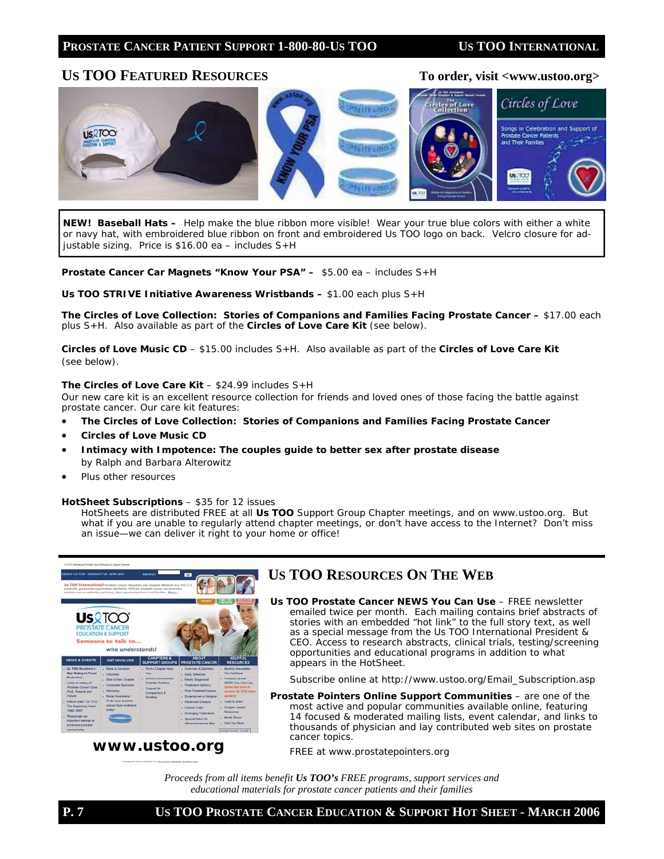# US TOO FEATURED RESOURCES To order, visit <www.ustoo.org>



*NEW!* **Baseball Hats –** Help make the blue ribbon more visible! Wear your true blue colors with either a white or navy hat, with embroidered blue ribbon on front and embroidered Us TOO logo on back. Velcro closure for adjustable sizing. Price is \$16.00 ea – includes S+H

**Prostate Cancer Car Magnets "Know Your PSA" –** \$5.00 ea – includes S+H

#### **Us TOO** *STRIVE* **Initiative Awareness Wristbands –** \$1.00 each plus S+H

*The Circles of Love Collection: Stories of Companions and Families Facing Prostate Cancer* **–** \$17.00 each plus S+H. Also available as part of the *Circles of Love Care Kit* (see below).

*Circles of Love* **Music CD** *–* \$15.00 includes S+H. Also available as part of the *Circles of Love Care Kit*  (see below).

#### *The Circles of Love Care Kit* – \$24.99 includes S+H

Our new care kit is an excellent resource collection for friends and loved ones of those facing the battle against prostate cancer. Our care kit features:

- *The Circles of Love Collection: Stories of Companions and Families Facing Prostate Cancer*
- *Circles of Love* **Music CD**
- *Intimacy with Impotence: The couples guide to better sex after prostate disease* by Ralph and Barbara Alterowitz
- Plus other resources

#### *HotSheet* **Subscriptions** – \$35 for 12 issues

HotSheets are distributed FREE at all **Us TOO** Support Group Chapter meetings, and on www.ustoo.org. But what if you are unable to regularly attend chapter meetings, or don't have access to the Internet? Don't miss an issue—we can deliver it right to your home or office!



# **www.ustoo.org**

# **US TOO RESOURCES ON THE WEB**

**Us TOO Prostate Cancer** *NEWS You Can Use* – FREE newsletter emailed twice per month. Each mailing contains brief abstracts of stories with an embedded "hot link" to the full story text, as well as a special message from the Us TOO International President & CEO. Access to research abstracts, clinical trials, testing/screening opportunities and educational programs in addition to what appears in the *HotSheet*.

*Subscribe online at http://www.ustoo.org/Email\_Subscription.asp*

*Prostate Pointers* **Online Support Communities** – are one of the most active and popular communities available online, featuring 14 focused & moderated mailing lists, event calendar, and links to thousands of physician and lay contributed web sites on prostate cancer topics.

*FREE at www.prostatepointers.org* 

*Proceeds from all items benefit Us TOO's FREE programs, support services and educational materials for prostate cancer patients and their families*